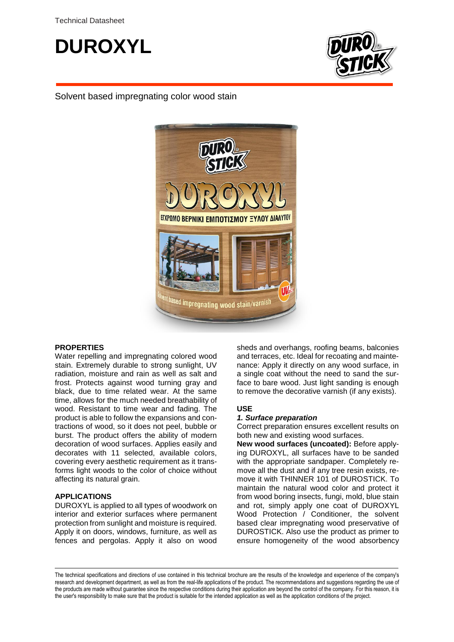



Solvent based impregnating color wood stain



#### **PROPERTIES**

Water repelling and impregnating colored wood stain. Extremely durable to strong sunlight, UV radiation, moisture and rain as well as salt and frost. Protects against wood turning gray and black, due to time related wear. At the same time, allows for the much needed breathability of wood. Resistant to time wear and fading. The product is able to follow the expansions and contractions of wood, so it does not peel, bubble or burst. The product offers the ability of modern decoration of wood surfaces. Applies easily and decorates with 11 selected, available colors, covering every aesthetic requirement as it transforms light woods to the color of choice without affecting its natural grain.

#### **APPLICATIONS**

DUROXYL is applied to all types of woodwork on interior and exterior surfaces where permanent protection from sunlight and moisture is required. Apply it on doors, windows, furniture, as well as fences and pergolas. Apply it also on wood

sheds and overhangs, roofing beams, balconies and terraces, etc. Ideal for recoating and maintenance: Apply it directly on any wood surface, in a single coat without the need to sand the surface to bare wood. Just light sanding is enough to remove the decorative varnish (if any exists).

#### **USE**

#### *1. Surface preparation*

Correct preparation ensures excellent results on both new and existing wood surfaces.

**New wood surfaces (uncoated):** Before applying DUROXYL, all surfaces have to be sanded with the appropriate sandpaper. Completely remove all the dust and if any tree resin exists, remove it with THINNER 101 of DUROSTICK. To maintain the natural wood color and protect it from wood boring insects, fungi, mold, blue stain and rot, simply apply one coat of DUROXYL Wood Protection / Conditioner, the solvent based clear impregnating wood preservative of DUROSTICK. Also use the product as primer to ensure homogeneity of the wood absorbency

The technical specifications and directions of use contained in this technical brochure are the results of the knowledge and experience of the company's research and development department, as well as from the real-life applications of the product. The recommendations and suggestions regarding the use of the products are made without guarantee since the respective conditions during their application are beyond the control of the company. For this reason, it is the user's responsibility to make sure that the product is suitable for the intended application as well as the application conditions of the project.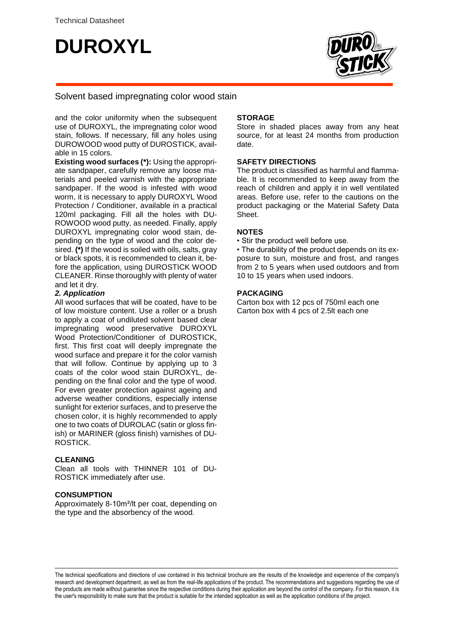# **DUROXYL**



# Solvent based impregnating color wood stain

and the color uniformity when the subsequent use of DUROXYL, the impregnating color wood stain, follows. If necessary, fill any holes using DUROWOOD wood putty of DUROSTICK, available in 15 colors.

**Existing wood surfaces (\*):** Using the appropriate sandpaper, carefully remove any loose materials and peeled varnish with the appropriate sandpaper. If the wood is infested with wood worm, it is necessary to apply DUROXYL Wood Protection / Conditioner, available in a practical 120ml packaging. Fill all the holes with DU-ROWOOD wood putty, as needed. Finally, apply DUROXYL impregnating color wood stain, depending on the type of wood and the color desired. **(\*)** If the wood is soiled with oils, salts, gray or black spots, it is recommended to clean it, before the application, using DUROSTICK WOOD CLEANER. Rinse thoroughly with plenty of water and let it dry.

## *2. Application*

All wood surfaces that will be coated, have to be of low moisture content. Use a roller or a brush to apply a coat of undiluted solvent based clear impregnating wood preservative DUROXYL Wood Protection/Conditioner of DUROSTICK, first. This first coat will deeply impregnate the wood surface and prepare it for the color varnish that will follow. Continue by applying up to 3 coats of the color wood stain DUROXYL, depending on the final color and the type of wood. For even greater protection against ageing and adverse weather conditions, especially intense sunlight for exterior surfaces, and to preserve the chosen color, it is highly recommended to apply one to two coats of DUROLAC (satin or gloss finish) or MARINER (gloss finish) varnishes of DU-ROSTICK.

# **CLEANING**

Clean all tools with THINNER 101 of DU-ROSTICK immediately after use.

## **CONSUMPTION**

Approximately 8-10m²/lt per coat, depending on the type and the absorbency of the wood.

## **STORAGE**

Store in shaded places away from any heat source, for at least 24 months from production date.

## **SAFETY DIRECTIONS**

The product is classified as harmful and flammable. It is recommended to keep away from the reach of children and apply it in well ventilated areas. Before use, refer to the cautions on the product packaging or the Material Safety Data Sheet.

## **NOTES**

• Stir the product well before use.

• The durability of the product depends on its exposure to sun, moisture and frost, and ranges from 2 to 5 years when used outdoors and from 10 to 15 years when used indoors.

## **PACKAGING**

Carton box with 12 pcs of 750ml each one Carton box with 4 pcs of 2.5lt each one

The technical specifications and directions of use contained in this technical brochure are the results of the knowledge and experience of the company's research and development department, as well as from the real-life applications of the product. The recommendations and suggestions regarding the use of the products are made without guarantee since the respective conditions during their application are beyond the control of the company. For this reason, it is the user's responsibility to make sure that the product is suitable for the intended application as well as the application conditions of the project.